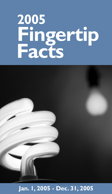# **2005 Fingertip Facts**



### Jan. I, 2005 - Dec. 31, 2005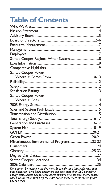### **Table of Contents**

| Santee Cooper Power:                                                                                                                                                                                                                                                                                                             |
|----------------------------------------------------------------------------------------------------------------------------------------------------------------------------------------------------------------------------------------------------------------------------------------------------------------------------------|
|                                                                                                                                                                                                                                                                                                                                  |
|                                                                                                                                                                                                                                                                                                                                  |
|                                                                                                                                                                                                                                                                                                                                  |
|                                                                                                                                                                                                                                                                                                                                  |
| Santee Cooper Power:                                                                                                                                                                                                                                                                                                             |
|                                                                                                                                                                                                                                                                                                                                  |
|                                                                                                                                                                                                                                                                                                                                  |
|                                                                                                                                                                                                                                                                                                                                  |
|                                                                                                                                                                                                                                                                                                                                  |
|                                                                                                                                                                                                                                                                                                                                  |
|                                                                                                                                                                                                                                                                                                                                  |
|                                                                                                                                                                                                                                                                                                                                  |
|                                                                                                                                                                                                                                                                                                                                  |
|                                                                                                                                                                                                                                                                                                                                  |
| Miscellaneous Environmental Programs 22-23                                                                                                                                                                                                                                                                                       |
|                                                                                                                                                                                                                                                                                                                                  |
|                                                                                                                                                                                                                                                                                                                                  |
|                                                                                                                                                                                                                                                                                                                                  |
|                                                                                                                                                                                                                                                                                                                                  |
|                                                                                                                                                                                                                                                                                                                                  |
| Front cover: By replacing the five most frequently used light bulbs with com-<br>pact fluorescent light bulbs, customers can save more than \$60 annually in<br>energy costs. Santee Cooper encourages customers to practice energy conser-<br>vation, which will, in turn, help the state-owned utility meet the state's future |

*power needs.*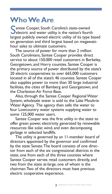#### **Who We Are**

Santee Cooper, South Carolina's state-owned<br>electric and water utility, is the nation's fourth **Cantee Cooper, South Carolina's state-owned** largest publicly owned electric utility of its type based on generation and third largest based on megawatthour sales to ultimate customers.

The source of power for more than 2 million South Carolinians, Santee Cooper provides direct service to about 150,000 retail customers in Berkeley, Georgetown, and Horry counties. Santee Cooper is the primary source of power distributed by the state's 20 electric cooperatives to over 665,000 customers located in all of the state's 46 counties. Santee Cooper also supplies power to more than 30 large industrial facilities, the cities of Bamberg and Georgetown, and the Charleston Air Force Base.

Also, through the Santee Cooper Regional Water System, wholesale water is sold to the Lake Moultrie Water Agency. The agency then sells the water to four Lowcountry water systems supplying water to some 125,000 water users.

Santee Cooper was the first utility in the state to offer green power, electricity generated by renewable resources like solar, wind, and even decomposing garbage in selected landfills.

The utility is governed by an 11-member board of directors appointed by the governor and confirmed by the state Senate. The board consists of one director from each of the six congressional districts in the state, one from each of the three counties where Santee Cooper serves retail customers directly, and two from the state at-large, one of whom is the chairman. Two of the directors must have previous electric cooperative experience.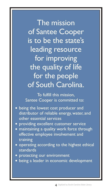The mission of Santee Cooper is to be the state's leading resource for improving the quality of life for the people of South Carolina.

To fulfill this mission, Santee Cooper is committed to:

- being the lowest cost producer and distributor of reliable energy, water, and other essential services
- **providing excellent customer service**
- maintaining a quality work force through effective employee involvement and training
- operating according to the highest ethical standards
- protecting our environment
- $\bullet$  being a leader in economic development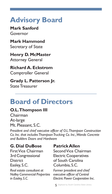### **Advisory Board**

**Mark Sanford** Governor

**Mark Hammond** Secretary of State

**Henry D. McMaster** Attorney General

**Richard A. Eckstrom** Comptroller General

**Grady L. Patterson Jr.** State Treasurer

### **Board of Directors**

#### **O.L. Thompson III**

Chairman At-large Mt. Pleasant, S.C.

*President and chief executive officer of O.L. Thompson Construction Co. Inc. that includes Thompson Trucking Co. Inc., Wando Concrete and Builders Doors and Hardware*

#### **G. Dial DuBose Patrick Allen**

3rd Congressional Electric Cooperatives District of South Carolina Easley, S.C. Columbia, S.C.

Real estate consultant at Former president and chief<br>Nalley Commercial Properties executive officer of Central *Nalley Commercial Properties* 

First Vice Chairman Second Vice Chairman

*in Easley, S.C. Electric Power Cooperative Inc.*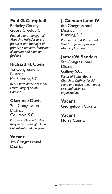Berkeley County **6th Congressional** Goose Creek, S.C. District

*Retired plant manager of* Manning, S.C. *Alcoa Mt. Holly. Alcoa is a Partner in Land, Parker and producer and manager of Welch, a general practice*   $b$ *rimary aluminum, fabricated aluminum and alumina* 

**Richard H. Coen**<br>
1st Congressional District Congressional District Gaffney, S.C.<br>
District *Pastor of Bethel Baptist*<br> *Pastor of Bethel Baptist*<br> *Church in Gaffney for 55 Lowcountry of South civic and business* 

## **Clarence Davis Vacant**<br>2nd Congressional **Georget**

**District** Columbia, S.C. **Vacant**

*Riley & Scarborough LLP, a Columbia-based law firm*

#### **Vacant**

4th Congressional **District** 

#### Paul G. Campbell | J. Calhoun Land IV

#### *facilities.* **James W. Sanders**

*Real estate developer in the years and active in numerous Carolina organizations*

**Georgetown County** 

**Horry County**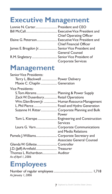#### **Executive Management**

|                                                 | <b>Chief Operating Officer</b> |
|-------------------------------------------------|--------------------------------|
|                                                 |                                |
|                                                 | Chief Financial Officer        |
| James E. Brogdon Jr.  Senior Vice President and |                                |
|                                                 | <b>General Counsel</b>         |
| R.M. Singletary  Senior Vice President of       |                                |
|                                                 | Corporate Services             |

#### **Management**

| <b>Senior Vice Presidents:</b>             |                                               |
|--------------------------------------------|-----------------------------------------------|
| Terry L. Blackwell  Power Delivery         |                                               |
| Maxie C. Chaplin  Generation               |                                               |
| <b>Vice Presidents:</b>                    |                                               |
| S. Tom Abrams  Planning & Power Supply     |                                               |
| Zack W. Dusenbury Retail Operations        |                                               |
|                                            | Wm. Glen Brown Jr.  Human Resource Management |
|                                            | L. Phil Pierce Fossil and Hydro Generation    |
|                                            | Suzanne H. Ritter Corporate Planning and Bulk |
|                                            | Power                                         |
|                                            | Tom L. Kierspe  Engineering and Construction  |
|                                            | <b>Services</b>                               |
|                                            | Laura G. Varn Corporate Communications        |
|                                            | and Media Relations                           |
| Pamela J. Williams Corporate Secretary and |                                               |
|                                            | Associate General Counsel                     |
| Glenda W. Gillette Controller              |                                               |
| J.D. (Jeff) Armfield Treasurer             |                                               |
| Thomas L. Richardson Auditor               |                                               |
| As of April 1, 2006                        |                                               |

### **Employees**

| As January 1, 2006 |  |
|--------------------|--|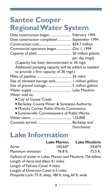### **Santee Cooper Regional Water System**

| Date construction began February 1993               |               |
|-----------------------------------------------------|---------------|
| Date construction completed September 1994          |               |
|                                                     |               |
| Commercial operation began Oct. 1, 1994             |               |
|                                                     |               |
|                                                     | per day (mgd) |
| (Capacity has been demonstrated at 36 mgd.          |               |
| Additional pumping capacity will be added as needed |               |
| to provide a firm capacity of 36 mgd.)              |               |
|                                                     |               |
| Size of elevated storage tank I million gallons     |               |
| Size of ground storage 5 million gallons            |               |
|                                                     |               |
| Water sold to:                                      |               |
| $\sim$ Circuit Course Courts                        |               |

- City of Goose Creek l
- **•** Berkeley County Water & Sanitation Authority
- · Moncks Corner Public Works Commission

| • Summerville Commissioners of Public Works |            |
|---------------------------------------------|------------|
|                                             |            |
|                                             |            |
|                                             | Dorchester |

#### **Lake Information**

|                                                            | <b>Lake Marion</b> | <b>Lake Moultrie</b> |
|------------------------------------------------------------|--------------------|----------------------|
| Acres                                                      | 100.607            | 59.874               |
| Maximum elevation                                          | 76.8 ft.           | $75.5$ ft.           |
| Gallons of water in Lakes Marion and Moultrie: 756 billion |                    |                      |
| Length of dams and dikes: 41 miles                         |                    |                      |
| Length of Tailrace Canal: 4 miles                          |                    |                      |
| Length of Diversion Canal: 6.5 miles                       |                    |                      |
| Pinopolis Lock: 75 ft. deep, 180 ft. long, 60 ft. wide     |                    |                      |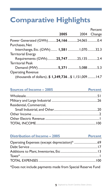### **Comparative Highlights**

|                                                     | 2005 | Percent<br>2004 Change |
|-----------------------------------------------------|------|------------------------|
|                                                     |      |                        |
| Power Generated (GWh)24, 16624,0650.4               |      |                        |
| Purchases, Net                                      |      |                        |
| Interchange, Etc. (GWh) 1,581  1,07032.3            |      |                        |
| <b>Territorial Energy</b>                           |      |                        |
| Requirements (GWh)25,74725,1352.4                   |      |                        |
| <b>Territorial Peak</b>                             |      |                        |
| Demand (MW) 5,371 5,088 5.3                         |      |                        |
| <b>Operating Revenue</b>                            |      |                        |
| (thousands of dollars)\$ 1,349,736\$ 1,151,009 14.7 |      |                        |

#### **Sources of Income – 2005 Percent**

| Residential, Commercial, |  |
|--------------------------|--|
|                          |  |
|                          |  |
|                          |  |
|                          |  |

| <b>Distribution of Income - 2005</b><br><b>Contract Contract</b> | <b>Percent</b> |
|------------------------------------------------------------------|----------------|
|                                                                  |                |
|                                                                  |                |
|                                                                  |                |
| $Taxes*$                                                         |                |
|                                                                  |                |
|                                                                  |                |

\*Does not include payments made from Special Reserve Fund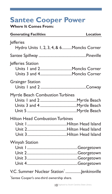### **Santee Cooper Power**

**Where It Comes From:**

| <b>Generating Facilities</b>                                                              | Location |
|-------------------------------------------------------------------------------------------|----------|
| <b>Jefferies</b><br>Hydro Units 1, 2, 3, 4, & 6Moncks Corner                              |          |
|                                                                                           |          |
| Jefferies Station                                                                         |          |
| <b>Grainger Station</b>                                                                   |          |
| Myrtle Beach Combustion Turbines                                                          |          |
| <b>Hilton Head Combustion Turbines</b>                                                    |          |
| <b>Winyah Station</b>                                                                     |          |
| V.C. Summer Nuclear Station    Jenkinsville<br>Santee Cooper's one-third ownership share. |          |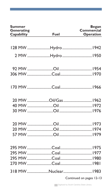| <b>Summer</b><br>Generating<br>Capability | Fuel                | <b>Began</b><br>Commercial<br>Operation |
|-------------------------------------------|---------------------|-----------------------------------------|
|                                           |                     |                                         |
|                                           |                     |                                         |
|                                           | 2 MW Hydro  1950    |                                         |
|                                           |                     |                                         |
|                                           |                     |                                         |
|                                           |                     |                                         |
|                                           |                     |                                         |
|                                           | 20 MW Oil/Gas  1962 |                                         |
|                                           |                     |                                         |
|                                           |                     |                                         |
|                                           |                     |                                         |
|                                           |                     |                                         |
|                                           |                     |                                         |
|                                           |                     |                                         |
|                                           |                     |                                         |
|                                           |                     |                                         |
|                                           |                     |                                         |
|                                           |                     |                                         |
|                                           |                     |                                         |
|                                           | 318 MWNuclear1983   |                                         |
|                                           |                     | Continued on pages 12-13                |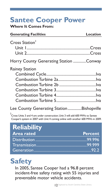### **Santee Cooper Power**

**Where It Comes From:**

| <b>Generating Facilities</b>             | Location |
|------------------------------------------|----------|
| Cross Station <sup>2</sup>               |          |
| Horry County Generating Station Conway   |          |
| Rainey Station                           |          |
| Lee County Generating StationBishopville |          |

2 Cross Units 3 and 4 are under construction. Unit 3 will add 600 MWs to Santee Cooper's system in 2007 with Unit 4 coming online with another 600 MWs in 2009.

| <b>Reliability</b> |                |
|--------------------|----------------|
| <b>Area rated</b>  | <b>Percent</b> |
|                    |                |
|                    |                |
|                    |                |

### **Safety**

In 2005, Santee Cooper had a 96.8 percent incident-free safety rating with 55 injuries and preventable motor vehicle accidents.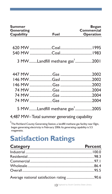| <b>Summer</b><br>Generating<br>Capability | Fuel                                                                                                                                                                                | Began<br>Commercial<br>Operation |
|-------------------------------------------|-------------------------------------------------------------------------------------------------------------------------------------------------------------------------------------|----------------------------------|
|                                           |                                                                                                                                                                                     |                                  |
|                                           |                                                                                                                                                                                     |                                  |
|                                           |                                                                                                                                                                                     |                                  |
|                                           | 3 MWLandfill methane gas <sup>3</sup> 2001                                                                                                                                          |                                  |
|                                           |                                                                                                                                                                                     |                                  |
|                                           |                                                                                                                                                                                     |                                  |
|                                           |                                                                                                                                                                                     |                                  |
|                                           |                                                                                                                                                                                     |                                  |
|                                           |                                                                                                                                                                                     |                                  |
|                                           |                                                                                                                                                                                     |                                  |
|                                           | 5 MWLandfill methane gas <sup>3</sup> 2005                                                                                                                                          |                                  |
|                                           | 4,487 MW-Total summer generating capability                                                                                                                                         |                                  |
| megawatts.                                | <sup>3</sup> The Richland County Generating Station, a landfill methane gas facility near Elgin,<br>began generating electricity in February 2006. Its generating capability is 5.5 |                                  |
|                                           | <b>Satisfaction Ratings</b>                                                                                                                                                         |                                  |

| Category <b>Category</b> | <b>Percent</b> |
|--------------------------|----------------|
|                          |                |
|                          |                |
|                          |                |
|                          |                |
| Overall 25.5             |                |
|                          |                |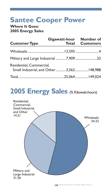### **Santee Cooper Power**

**Where It Goes: 2005 Energy Sales**

| <b>Customer Type</b>                                                 | Gigawatt-hour Number of | <b>Total Customers</b> |
|----------------------------------------------------------------------|-------------------------|------------------------|
|                                                                      |                         |                        |
| Military and Large Industrial 7,909 32                               |                         |                        |
| Residential, Commercial,<br>Small Industrial, and Other3,562 148,988 |                         |                        |
|                                                                      |                         |                        |

### 2005 Energy Sales (% Kilowatt-hours)

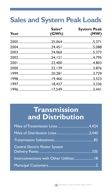### **Sales and System Peak Loads**

| Year | Sales*<br>(GWh) | <b>System Peak</b><br>(MW) |
|------|-----------------|----------------------------|
|      |                 |                            |
|      |                 |                            |
|      |                 |                            |
|      |                 |                            |
|      |                 |                            |
|      |                 |                            |
|      |                 |                            |
|      |                 |                            |
|      |                 |                            |
|      |                 |                            |

#### **Transmission and Distribution**

| <b>Central Electric Power System</b>     |  |
|------------------------------------------|--|
| Interconnections with Other Utilities 18 |  |
|                                          |  |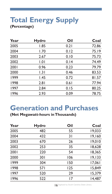## **Total Energy Supply**

**(Percentage)**

| Year | Hydro | Oil  | Coal  |
|------|-------|------|-------|
| 2005 | 1.85  | 0.21 | 72.86 |
| 2004 | 1.70  | 0.12 | 75.19 |
| 2003 | 2.67  | 0.10 | 75.73 |
| 2002 | 1.01  | 0.14 | 74.49 |
| 2001 | 0.96  | 0.23 | 79.79 |
| 2000 | 1.31  | 0.46 | 83.53 |
| 1999 | 1.45  | 0.72 | 81.57 |
| 1998 | 2.81  | 0.61 | 77.94 |
| 1997 | 2.84  | 0.15 | 80.25 |
| 1996 | 2.93  | 0.09 | 78.75 |

#### **Generation and Purchases**

**(Net Megawatt-hours in Thousands)**

| Year | Hydro | Oil | Coal   |
|------|-------|-----|--------|
| 2005 | 482   | 55  | 19,033 |
| 2004 | 432   | 31  | 19,160 |
| 2003 | 670   | 26  | 19.010 |
| 2002 | 253   | 35  | 18,628 |
| 2001 | 220   | 54  | 18.365 |
| 2000 | 301   | 106 | 19,133 |
| 1999 | 304   | 150 | 17.061 |
| 1998 | 571   | 125 | 15.849 |
| 1997 | 520   | 29  | 15.379 |
| 1996 | 522   | 17  | 14.487 |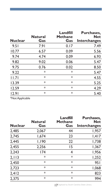| <b>Nuclear</b> | <b>Natural</b><br>Gas | Landfill<br>Methane<br>Gas | Purchases.<br><b>Net</b><br>Interchanges |
|----------------|-----------------------|----------------------------|------------------------------------------|
| 9.51           | 7.91                  | 0.17                       | 7.49                                     |
| 10.77          | 6.57                  | 0.09                       | 5.56                                     |
| 9.74           | 4.74                  | 0.09                       | 6.93                                     |
| 9.82           | 9.02                  | 0.06                       | 5.47                                     |
| 9.75           | 0.76                  | 0.02                       | 8.50                                     |
| 9.22           | *                     | *                          | 5.47                                     |
| 11.71          | *                     | $*$                        | 4.55                                     |
| 13.39          | $\ast$                | $\ast$                     | 5.25                                     |
| 12.59          | *                     | $*$                        | 4.29                                     |
| 12.91          | *                     | *                          | 5.40                                     |

\*Not Applicable

|                | <b>Natural</b> | Landfill<br>Methane | Purchases.<br><b>Net</b> |
|----------------|----------------|---------------------|--------------------------|
| <b>Nuclear</b> | Gas            | Gas                 | <b>Interchanges</b>      |
| 2.485          | 2.067          | 44                  | 1,957                    |
| 2,745          | 1.674          | 23                  | 1,417                    |
| 2.445          | 1,190          | 22                  | 1,738                    |
| 2,455          | 2,256          | 15                  | 1,367                    |
| 2.243          | 174            | 4                   | 1.956                    |
| 2, 113         | $\ast$         | $*$                 | 1.252                    |
| 2.450          | $\ast$         | $*$                 | 951                      |
| 2.723          | $\ast$         | $*$                 | 1.068                    |
| 2.412          | $\ast$         | $*$                 | 823                      |
| 2.375          | $\ast$         | $*$                 | 994                      |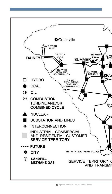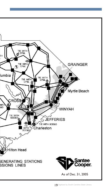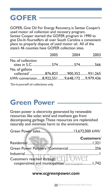### **GOFER**

GOFER, Give Oil For Energy Recovery, is Santee Cooper's used motor oil collection and recovery program. Santee Cooper started the GOFER program in 1990 to give Do-It-Yourselfers all over South Carolina a convenient place to properly dispose of used motor oil. All of the state's 46 counties have GOFER collection sites.

|                                                     | 2005 | 2004 | 2003 |
|-----------------------------------------------------|------|------|------|
| No. of collection                                   |      |      |      |
| No. of gallons<br>collected 876,823 900,352 931,265 |      |      |      |
| kWh conversion8.922.5519.648.1729.979.436           |      |      |      |
| .                                                   |      |      |      |

Do-it-yourself oil collections only.

#### **Green Power**

Green power is electricity generated by renewable resources like solar, wind and methane gas from decomposing garbage. These resources are replenished naturally and minimize harm to the environment.

|                                                   | Customers |
|---------------------------------------------------|-----------|
|                                                   |           |
| Green Power Partners <sup>2</sup> /Commercial 256 |           |
|                                                   |           |
| Customers reached through end COWET               |           |
|                                                   |           |

#### *www.scgreenpower.com*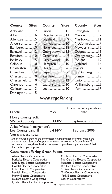| <b>County</b> Sites | <b>County</b> Sites | <b>County</b> Sites |  |
|---------------------|---------------------|---------------------|--|
| Abbeville 12        | Dillon  11          | Lexington13         |  |
| Aiken  16           | Dorchester13        | Marion7             |  |
| Allendale 5         | Edgefield9          | Marlboro11          |  |
| Anderson17          | Fairfield  10       | McCormick 4         |  |
| Bamberg9            | Florence18          | Newberry12          |  |
| Barnwell12          | Georgetown15        | Oconee15            |  |
|                     | Greenville 9        | Orangeburg25        |  |
| Berkeley 15         | Greenwood10         | Pickens 12          |  |
|                     |                     | Richland 14         |  |
| Charleston10        | Horry26             | Saluda 7            |  |
| Cherokee14          |                     | Spartanburg20       |  |
| Chester10           | Kershaw11           | Sumter 13           |  |
| Chesterfield10      | Lancaster 12        | Union 10            |  |
| Clarendon 14        |                     | Williamsburg22      |  |
| Colleton13          |                     | York17              |  |
| Darlington 15       |                     |                     |  |

#### *www.scgofer.org*

| Landfill                                         | <b>MW</b> | Commercial operation<br>date |
|--------------------------------------------------|-----------|------------------------------|
| Horry County Solid<br><b>Waste Authority</b>     | 3.3 MW    | September 2001               |
| Allied Waste Management's<br>Lee County Landfill | 5.4 MW    | February 2006                |

<sup>1</sup>Data as of Dec. 31, 2005.

<sup>2</sup>Green Power Partners are committed environmental stewards who have partnered with Santee Cooper in an effort to promote Green Power. To become a partner, these businesses agree to purchase a percentage of their electricity as green power.

#### **Customers offering Green Power**:

Aiken Electric Cooperative Marlboro Electric Cooperative Blue Ridge Electric Cooperative<br>Coastal Electric Cooperative Coastal Electric Cooperative Pee Dee Electric Cooperative<br>
Edisto Electric Cooperative Santee Electric Cooperative Edisto Electric Cooperative Santee Electric Cooperative<br>Fairfield Electric Cooperative Tri-County Electric Coopera Horry Electric Cooperative Tork Electric Cooperative Vork Electric Cooperative City of Georgetown Laurens Electric Cooperative Lynches River Electric Cooperative

Mid-Carolina Electric Cooperative<br>Palmetto Electric Cooperative Tri-County Electric Cooperative<br>York Electric Cooperative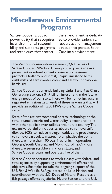#### **Miscellaneous Environmental Programs**

Santee Cooper, a public the environment, is dedicat-<br>power utility that recognizes ed to provide leadership, power utility that recognizes<br>its environmental responsibility and supports programs direction to protect South and techniques that protect Carolina's environment. and techniques that protect

resources and management<br>direction to protect South

The Wadboo conservation easement, 2,600 acres of Santee Cooper's Wadboo Creek property set aside in a permanent nondevelopment conservation easement, protects a bottom-land forest, unique limestone bluffs, eight miles of a freshwater creek and a Revolutionary War battle site.

Santee Cooper is currently building Units 3 and 4 at Cross Generating Station, a \$1.4 billion investment in the future energy needs of our state. There will be no net increase in regulated emissions as a result of these new units that will provide an additional 1,200 MWs to the Santee Cooper system.

State of the art environmental control technology at the state-owned electric and water utility is second to none with other public power utilities around the country. The expansive portfolio includes scrubbers to remove sulfur dioxide, SCRs to reduce nitrogen oxides and precipitators to remove particulate matter. To emphasize the point, there are more than 100 coal-fired units in operation in Georgia, South Carolina and North Carolina. Of those, there are seven scrubbers in those states, and Santee Cooper owns and operates five of them.

Santee Cooper continues to work closely with federal and state agencies by supporting environmental efforts and objectives. Examples include the ongoing support of the U.S. Fish & Wildlife Refuge located on Lake Marion and coordination with the S.C. Dept. of Natural Resources on fish passage efforts at Jefferies Hydro Station and the U.S.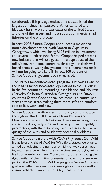collaborative fish passage endeavor has established the largest combined fish passage of American shad and blueback herring on the east coast of the United States and one of the largest and most robust commercial shad fisheries on the entire coast.

In early 2005, Santee Cooper announced a major economic development deal with American Gypsum in Georgetown, which will bring \$125 million in investment and several hundred jobs. Santee Cooper helped create a new industry that will use gypsum – a byproduct of the utility's environmental control technology – in their wallboard process. Using the gypsum in this manner means it will not be going to a landfill. In fact, 100 percent of Santee Cooper's gypsum is being recycled.

The utility's mosquito-control program is known as one of the leading mosquito-control operations in the Carolinas. In the five counties surrounding lakes Marion and Moultrie (Berkeley, Calhoun, Clarendon, Orangeburg and Sumter counties), Santee Cooper provides mosquito control services to these areas, making them more safe and comfortable to live, work and play.

Santee Cooper has 48 water monitoring stations located throughout the 160,000 acres of lakes Marion and Moultrie and all major tributaries. These monitoring points are sampled regularly for a wide variety of water quality parameters, with the data being used to assess the overall quality of the lakes and to identify potential problems.

Santee Cooper partners with POWER (Protect Our Wildlife at Every Right of Way) for Wildlife, a statewide program aimed at reducing the number of right of way acres requiring maintenance while at the same time encouraging wildlife habitat enhancement. More than 1,800 acres along the 4,400 miles of the utility's transmission corridors are now part of the POWER for Wildlife program. Santee Cooper's goal is to effectively manage these rights of way as well as ensure reliable power to the utility's customers.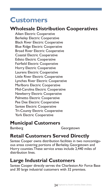#### **Customers**

#### **Wholesale Distribution Cooperatives**

Aiken Electric Cooperative Berkeley Electric Cooperative Black River Electric Cooperative Blue Ridge Electric Cooperative Broad River Electric Cooperative Coastal Electric Cooperative Edisto Electric Cooperative Fairfield Electric Cooperative Horry Electric Cooperative Laurens Electric Cooperative Little River Electric Cooperative Lynches River Electric Cooperative Marlboro Electric Cooperative Mid-Carolina Electric Cooperative Newberry Electric Cooperative Palmetto Electric Cooperative Pee Dee Electric Cooperative Santee Electric Cooperative Tri-County Electric Cooperative York Electric Cooperative

#### **Municipal Customers**

Bamberg Georgetown

#### **Retail Customers Served Directly**

Santee Cooper owns distribution facilities in two noncontiguous areas covering portions of Berkeley, Georgetown and Horry counties. These service areas include 2,440 miles of distribution lines.

#### **Large Industrial Customers**

Santee Cooper directly serves the Charleston Air Force Base and 30 large industrial customers with 32 premises.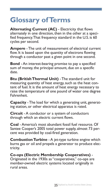### **Glossary of Terms**

**Alternating Current (AC)** - Electricity that flows alternately in one direction, then in the other at a specified frequency. That frequency standard in the U.S. is 60 cycles per second.

**Ampere** - The unit of measurement of electrical current flow. It is based upon the quantity of electrons flowing through a conductor past a given point in one second.

**Bond** - An interest-bearing promise to pay a specified sum of money, the principal amount, due on a specific date.

**Btu (British Thermal Unit)** - The standard unit for measuring quantity of heat energy, such as the heat content of fuel. It is the amount of heat energy necessary to raise the temperature of one pound of water one degree Fahrenheit.

**Capacity** - The load for which a generating unit, generating station, or other electrical apparatus is rated.

**Circuit** - A conductor or a system of conductors through which an electric current flows.

**Coal** - America's most abundant fossil fuel resource. Of Santee Cooper's 2005 total power supply, almost 73 percent was provided by coal-fired generation.

**Combustion Turbine** - A jet-type turbine engine which burns gas or oil and propels a generator to produce electricity.

**Co-ops (Electric Membership Cooperatives)** - Originated in the 1930s as "cooperatives," co-ops are member-owned electric systems located originally in rural areas.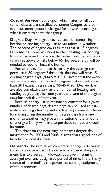**Cost of Service** - Basis upon which rates for all customer classes are classified by Santee Cooper so that each customer group is charged for power according to what it costs to serve that group.

**Degree Day** - A degree day is a tool for comparing heating or cooling energy use to variations in weather. The concept of degree days assumes that at 65 degrees Fahrenheit a home will need neither heating nor cooling. It is also assumed, therefore, that when outside temperature rises above or falls below 65 degrees, energy will be needed to cool or heat the home.

For example, if on a particular day the average temperature is 80 degrees Fahrenheit, that day will have 15 cooling degree days.  $(80-65 = 15)$ . Conversely, if the average temperature that day is 45 degrees Fahrenheit, it will have 20 heating degree days.  $(65-45 = 20)$ . Degree days are also cumulative so that the number of heating and cooling degree days for one year is the sum of the degree days for each day of that year.

Because energy use is reasonably constant for a given number of degree days, degree days can be used to estimate a building's heating and cooling requirements. Therefore, comparing the number of degree days from one month to another may give an indication of the amount of energy a family will have to purchase to heat and cool its home.

The chart on the next page compares degree day information for 2004 and 2005. It gives you a good idea of how hot or cold it's been.

**Demand** - The rate at which electric energy is delivered to or by a system, part of a system or a piece of equipment. It is expressed in kilowatts at a given instant or averaged over any designated period of time. The primary source of "demand" is the power-consuming equipment of the customers.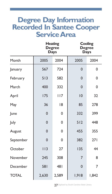#### **Degree Day Information Recorded In Santee Cooper Service Area**

|              |             | <b>Heating</b><br><b>Degree</b><br>Days |                | Cooling<br><b>Degree</b><br>Days |
|--------------|-------------|-----------------------------------------|----------------|----------------------------------|
| Month        | 2005        | 2004                                    | 2005           | 2004                             |
| January      | 567         | 724                                     | $\mathbf 0$    | 0                                |
| February     | 513         | 582                                     | $\mathbf 0$    | 0                                |
| March        | 400         | 332                                     | $\mathbf 0$    | 0                                |
| April        | 175         | 117                                     | 10             | 32                               |
| May          | 36          | 18                                      | 85             | 278                              |
| June         | $\mathbf 0$ | 0                                       | 332            | 399                              |
| July         | $\mathbf 0$ | 0                                       | 512            | 448                              |
| August       | $\mathbf 0$ | 0                                       | 455            | 355                              |
| September    | $\mathbf 0$ | 0                                       | 382            | 271                              |
| October      | 113         | 27                                      | 135            | 44                               |
| November     | 245         | 308                                     | $\overline{7}$ | 8                                |
| December     | 581         | 481                                     | $\mathbf 0$    | 7                                |
| <b>TOTAL</b> | 2,630       | 2,589                                   | 1.918          | 1.842                            |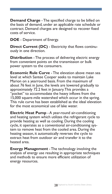**Demand Charge** - The specified charge to be billed on the basis of demand, under an applicable rate schedule or contract. Demand charges are designed to recover fixed costs of service.

**DOE** - Department of Energy.

**Direct Current (DC)** - Electricity that flows continuously in one direction.

**Distribution** - The process of delivering electric energy from convenient points on the transmission or bulk power system to the consumers.

**Economic Rule Curve** - The elevation above mean sea level at which Santee Cooper seeks to maintain Lake Marion on a yearround basis. From the maximum of about 76 feet in June, the levels are lowered gradually to approximately 72.2 feet in January. This provides a "pocket" to accommodate the heavy inflows from the 15,000 square-mile watershed which occur in the spring. This rule curve has been established as the ideal elevation for the most economical use of lake water.

**Electric Heat Pump** - A year-round air-conditioning and heating system which utilizes the refrigerant cycle to provide heating as well as cooling. During the cooling cycle, it operates as a conventional air-conditioning system to remove heat from the cooled area. During the heating season, it automatically reverses the cycle to extract heat from outdoor air and transfer it to the heated area.

**Energy Management** - The technology involving the analysis of energy use resulting in appropriate techniques and methods to ensure more efficient utilization of energy resources.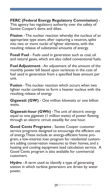**FERC (Federal Energy Regulatory Commission)** - This agency has regulatory authority over the safety of Santee Cooper's dams and dikes.

**Fission** - The nuclear reaction whereby the nucleus of an appropriate type atom, after capturing a neutron, splits into two or more nuclei of lighter elements, with the resulting release of substantial amounts of energy.

**Fossil Fuel** - Fuels used in generation such as coal, oil and natural gases, which are also called conventional fuels.

**Fuel Adjustment** - An adjustment of the amount of the monthly power bill based upon variances in the cost of fuel used in generation from a specified base amount per unit.

**Fusion** - The nuclear reaction which occurs when two lighter nuclei combine to form a heavier nucleus with the resulting release of energy.

**Gigawatt (GW)** - One million kilowatts or one billion watts.

**Gigawatt-hour (GWh)** - The unit of electric energy equal to one gigawatt (1 million watts) of power flowing through an electric circuit steadily for one hour.

**Good Cents Programs** - Santee Cooper customer service programs designed to encourage the efficient use of energy. These include an energy-efficient home program, a low-interest loan program for residential customers adding conservation measures to their homes, and a heating and cooling equipment load calculation service. A Good Cents program is also available for commercial customers.

**Hydro** - A term used to identify a type of generating station in which turbine generators are driven by water power.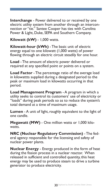**Interchange** - Power delivered to or received by one electric utility system from another through an interconnection or "tie." Santee Cooper has ties with Carolina Power & Light, Duke, SEPA and Southern Company.

**Kilowatt (kW)** - 1,000 watts.

**Kilowatt-hour (kWh)** - The basic unit of electric energy equal to one kilowatt (1,000 watts) of power flowing through an electric circuit steadily for one hour.

**Load** - The amount of electric power delivered or required at any specified point or points on a system.

**Load Factor** - The percentage ratio of the average load in kilowattts supplied during a designated period to the peak or maximum load in kilowatts occurring in that period.

**Load Management Program** - A program in which a utility seeks to control its customers' use of electricity or "loads" during peak periods so as to reduce the system's total demand at a time of maximum usage.

**Lumen** - A unit of light, roughly equivalent to the light of one candle.

**Megawatt (MW)** - One million watts or 1,000 kilowatts.

**NRC (Nuclear Regulatory Commission)** - The federal agency responsible for the licensing and safety of nuclear power plants.

**Nuclear Energy** - Energy produced in the form of heat during the fission process in a nuclear reactor. When released in sufficient and controlled quantity, this heat energy may be used to produce steam to drive a turbine generator to produce electricity.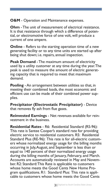**O&M** - Operation and Maintenance expenses.

**Ohm** - The unit of measurement of electrical resistance. It is that resistance through which a difference of potential, or electromotive force of one volt, will produce a current of one ampere.

**Online** - Refers to the starting operation time of a new generating facility or to any time units are started up after being shut down; i.e. repairs, annual inspection.

**Peak Demand** - The maximum amount of electricity used by a utility customer at any time during the year. The peak is used to measure the amount of electric generating capacity that is required to meet that maximum demand.

**Pooling** - An arrangement between utilities so that, in meeting their combined loads, the most economic and efficient use can be made of their combined power supplies.

**Precipitator (Electrostatic Precipitator)** - Device that removes fly ash from flue gases.

**Reinvested Earnings** - Net revenues available for reinvestment in the business.

**Residential Rates** - R6: Residential Standard (RS-96): This rate is Santee Cooper's standard rate for providing electric service to residential customers. R5: Residential Standard Plus (RE-96): This rate is for all-electric customers whose normalized energy usage for the billing months occurring in July, August, and September is less than or equal to 140 percent of their normalized energy usage during the billing months of January, February, and March. Accounts are automatically reviewed in May and November. R2: Standard: This Rate is applicable to customers whose home meets the Good Cents New Home Program qualifications. R1: Standard Plus: This rate is applicable to customers whose home meets the Good Cents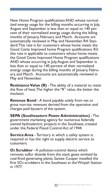New Home Program qualifications AND whose normalized energy usage for the billing months occurring in July, August and September is less than or equal to 140 percent of their normalized energy usage during the billing months of January, February and March. Accounts are automatically reviewed in May and November. R4: Standard: This rate is for customers whose home meets the Good Cents Improved home Program qualifications. R3: this rate is applicable to customers whose home meets the Good Cents Improved Home Program qualifications AND whose occurring in July, August and September is less than or equal to 140 percent of their normalized energy usage during the billing months of January, February, and March. Accounts are automatically reviewed in May and November.

**Resistance Value (R)** - The ability of a material to resist the flow of heat. The higher the "R" value, the better the insulator.

**Revenue Bond** - A bond payable solely from net or gross non-tax revenues derived from the operation and charges paid byusers of the system.

**SEPA (Southeastern Power Administration)** - The government marketing agency for numerous federally owned hydroelectric projects in the Southeast, created under the Federal Flood Control Act of 1944.

**Service Area** - Territory in which a utility system is required or has the right to supply electric service to customers.

**O2 Scrubber** - A pollution-control device which removes sulfur dioxide from the stack gases emitted by coal-fired generating plants. Santee Cooper installed the first SO2 scrubbers in the Southeast at the Winyah Station in 1977.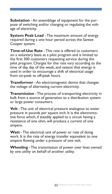**Substation** - An assemblage of equipment for the purpose of switching and/or changing or regulating the voltage of electricity.

**System Peak Load** - The maximum amount of energy required during a one hour period across the Santee Cooper system.

**Time-of-Use Rate** - This rate is offered to customers on a voluntary basis as a pilot program and is limited to the first 300 customers requesting service during the pilot program. Charges for this rate vary according to the time of day, day of the week, and season that energy is used in order to encourage a shift of electrical usage from on-peak to off-peak hours.

**Transformer** - An electromagnetic device that changes the voltage of alternating current electricity.

**Transmission** - The process of transporting electricity in bulk from a source of generation to a distribution system or large power consumers.

**Volt** - The unit of electrical pressure analogous to water pressure in pounds per square inch. It is the electromotive force which, if steadily applied to a circuit having a resistance of one ohm, will produce a current of one ampere.

**Watt** - The electrical unit of power or rate of doing work. It is the rate of energy transfer equivalent to one ampere flowing under a pressure of one volt.

**Wheeling** - The transmission of power over lines owned by one utility on behalf of another utility.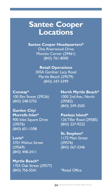#### **Santee Cooper Locations**

**Santee Cooper Headquarters\*** One Riverwood Drive Moncks Corner (29461) (843) 761-8000

> **Retail Operations** 305A Gardner Lacy Road Myrtle Beach (29579) (843) 347-3399

100 Elm Street (29526) 1000 2nd Ave., North (843) 248-5755 (29582)

**Garden City/** (29576) (843) 237-9222 (843) 651-1598

**Loris\*** 1172 Main Street 3701 Walnut Street (29576)<br>(29569) (843) 56 (843) 448-2411

**Myrtle Beach\*** 1703 Oak Street (29577) (843) 756-5541 \*\*Retail Office

**Conway\* North Myrtle Beach\*** (843) 249-3505

**Murrells Inlet\* Pawleys Island\*** 900 Inlet Square Drive 126 Tiller Road (29585)

> **St. Stephen\*** (29569) (843) 567-3346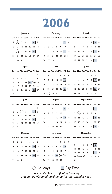## **2006**

| lanuary                                                                                    | February                                                       | March                                                |
|--------------------------------------------------------------------------------------------|----------------------------------------------------------------|------------------------------------------------------|
| Sun Mon Tue Wed Thu Fri Sat                                                                | Sun Mon Tue Wed Thu Fri Sat                                    | Sun Mon Tue Wed Thu Fri Sat                          |
| $_{2}$<br>5<br>$\ddot{\phantom{a}}$<br>$\overline{\mathbf{3}}$<br>$\ddot{ }$<br>7<br>I     | $\overline{\mathbf{3}}$<br>$\overline{2}$<br>Ï<br>4            | $\overline{\mathbf{3}}$<br>$\overline{2}$<br>f,<br>4 |
| 9<br>$\overline{10}$<br>п<br>12<br>13<br>R<br>14                                           | 5<br>6<br>$\overline{7}$<br>$\mathbf{\hat{R}}$<br>9<br>10<br>п | 5<br>7<br>9<br>10<br>п<br>6<br>R                     |
| 16)<br>17<br>19<br> 20 <br>21<br>15<br> 8                                                  | 17 <br>18<br>12<br>13<br> 4<br>15<br>16                        | 7 <br>12<br>13<br> 4<br>15<br>16<br>18               |
| 26 27<br>22<br>23<br>24<br>25<br>28                                                        | 19<br>20<br>21<br>22<br>23 24<br>25                            | 19<br>20<br>21<br>22<br>23<br>25<br>74               |
| 29<br>30<br>31                                                                             | 26<br>27<br>28                                                 | 29<br>30   31<br>26<br>27<br>28                      |
| April                                                                                      | May                                                            | lune                                                 |
| Sun Mon Tue Wed Thu Fri Sat                                                                | Sun Mon Tue Wed Thu Fri Sat                                    | Sun Mon Tue Wed Thu Fri Sat                          |
| I                                                                                          | 5<br>Ï<br>$\overline{2}$<br>3<br>4<br>6                        | $\overline{2}$<br>$\overline{\mathbf{3}}$<br>ı       |
| $\overline{ }$<br>$\overline{\mathbf{3}}$<br>5<br>7<br>8<br>6<br>4                         | 12 <br>$\overline{7}$<br>10<br>П<br>13<br>R<br>٩               | 5<br>9<br>4<br>6<br>7<br>R<br>10                     |
| 13(14)<br>9<br>12<br>10<br>п<br>15                                                         | 17<br>18<br>19<br>20<br>14<br>15<br>16                         | п<br>12<br>13<br>15<br>17<br> 4<br>16                |
| 21<br>$\overline{\mathcal{D}}$<br>17<br>18<br>19<br>20<br>16<br>29                         | 26<br>25<br>27<br>22<br>23<br>24<br>21                         | 23<br>18<br>19<br>20<br>21<br>22<br>24               |
| 27<br> 28 <br>23<br>24<br>25<br>26<br>30                                                   | (29)<br>28<br>30<br>31                                         | 25<br>28<br>30<br>26<br>27<br>29                     |
|                                                                                            |                                                                |                                                      |
| July                                                                                       | August                                                         | September                                            |
|                                                                                            |                                                                |                                                      |
| Sun Mon Tue Wed Thu Fri Sat                                                                | Sun Mon Tue Wed Thu Fri Sat                                    | Sun Mon Tue Wed Thu Fri Sat                          |
| I                                                                                          | 5<br>$\overline{2}$<br>3<br>$\overline{4}$<br>ı                | $\overline{2}$<br>ı                                  |
| 4<br>$\overline{7}$<br>$\overline{ }$<br>$\overline{\mathbf{3}}$<br>5<br>6<br>$\mathbf{a}$ | 7<br>8<br>9<br>10<br>П<br>12<br>6                              | (4)<br>3<br>5<br>7<br>8<br>9<br>6                    |
| 9<br>$\overline{10}$<br>П<br>12<br> 4<br>15<br>13                                          | 18 <br>19<br>13<br>15<br>16<br>17<br> 4                        | П<br>10<br>12<br>13<br> 5 <br> 4<br>16               |
| 21<br>22<br>17<br>18<br>19<br>20<br>16<br>29                                               | 23<br>24<br>25<br>26<br>20<br>21<br>22                         | 17<br>18<br>20<br>19<br>21<br>22<br>23               |
| 25<br>26<br>27<br>28<br>23<br>$^{24}$<br>30<br>31                                          | 27<br>28<br>29<br>30<br>31                                     | 29<br>27<br>28<br>30<br>24<br>25<br>26               |
| October                                                                                    | November                                                       | December                                             |
| Sun Mon Tue Wed Thu Fri Sat                                                                | Sun Mon Tue Wed Thu Fri Sat                                    | Sun Mon Tue Wed Thu Fri Sat                          |
| $\mathcal{L}$<br>5<br>$\overline{\mathbf{3}}$<br>6<br>7<br>$\mathbf{I}$<br>$\ddot{ }$      | $\overline{\mathbf{3}}$<br>$\mathcal{L}$<br>4<br>۱             | $\overline{2}$<br>ĭ                                  |
| 9<br> 13 <br>R<br>10<br>п<br>12<br>14                                                      | 5<br>$\overline{7}$<br>8<br> 10 <br>П<br>6<br>9                | 9<br>7<br>8<br>3<br>4<br>5<br>6                      |
| 19<br>21<br>15<br>16<br>17<br> 8<br>20                                                     | 12<br>13<br>17<br> 4<br>15<br>16<br>18                         | 10<br>п<br>12<br>13<br> 4<br>15<br>16                |
| $26$   $27$  <br>23<br>25<br>28<br>24<br>22                                                | 19<br>20<br>21<br>25                                           | 17<br>18<br> 9<br>20<br>22<br>23<br>21               |
|                                                                                            | (23)(24)<br> 22                                                | 25<br>26<br>27<br>24<br>28<br>29<br>30               |
| 29<br>30<br>$\overline{3}$                                                                 | 26<br>27<br>28<br>29<br>30                                     | $\overline{3}1$                                      |

*President's Day is a "floating" holiday that can be observed anytime during the calendar year.*